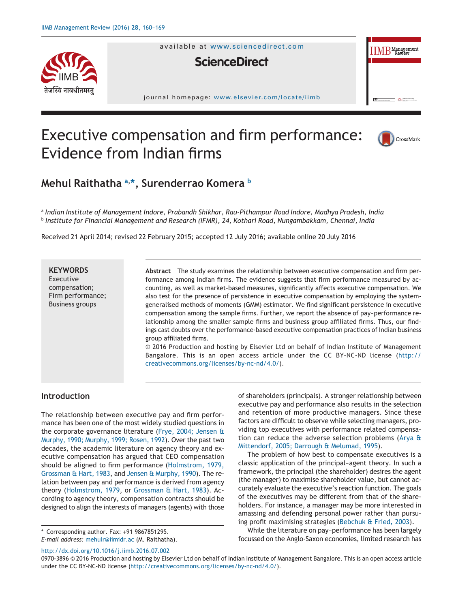

available at www.sciencedirect.com

# **ScienceDirect**

journal homepage: [www.elsevier.com/locate/iimb](http://www.elsevier.com/locate/iimb)



# Executive compensation and firm performance: Evidence from Indian firms



# **Mehul Raithatha [a,](#page-0-0) [\\*,](#page-0-1) Surenderrao Komera [b](#page-0-2)**

<span id="page-0-2"></span><span id="page-0-0"></span><sup>a</sup> *Indian Institute of Management Indore, Prabandh Shikhar, Rau-Pithampur Road Indore, Madhya Pradesh, India* <sup>b</sup> *Institute for Financial Management and Research (IFMR), 24, Kothari Road, Nungambakkam, Chennai, India*

Received 21 April 2014; revised 22 February 2015; accepted 12 July 2016; available online 20 July 2016

# **KEYWORDS**

Executive compensation; Firm performance; Business groups

**Abstract** The study examines the relationship between executive compensation and firm performance among Indian firms. The evidence suggests that firm performance measured by accounting, as well as market-based measures, significantly affects executive compensation. We also test for the presence of persistence in executive compensation by employing the systemgeneralised methods of moments (GMM) estimator. We find significant persistence in executive compensation among the sample firms. Further, we report the absence of pay–performance relationship among the smaller sample firms and business group affiliated firms. Thus, our findings cast doubts over the performance-based executive compensation practices of Indian business group affiliated firms.

© 2016 Production and hosting by Elsevier Ltd on behalf of Indian Institute of Management Bangalore. This is an open access article under the CC BY-NC-ND license (http:// creativecommons.org/licenses/by-nc-nd/4.0/).

# **Introduction**

The relationship between executive pay and firm performance has been one of the most widely studied questions in the corporate governance literature [\(Frye, 2004; Jensen &](#page-8-0) [Murphy, 1990; Murphy, 1999; Rosen, 1992\)](#page-8-0). Over the past two decades, the academic literature on agency theory and executive compensation has argued that CEO compensation should be aligned to firm performance [\(Holmstrom, 1979,](#page-9-0) [Grossman & Hart, 1983,](#page-9-0) and [Jensen & Murphy, 1990\)](#page-9-1). The relation between pay and performance is derived from agency theory [\(Holmstrom, 1979,](#page-9-0) or [Grossman & Hart, 1983\)](#page-9-2). According to agency theory, compensation contracts should be designed to align the interests of managers (agents) with those

<span id="page-0-1"></span>\* Corresponding author. Fax: +91 9867851295.

*E-mail address:* [mehulr@iimidr.ac](mailto:mehulr@iimidr.ac) (M. Raithatha).

http://dx.doi.org/10.1016/j.iimb.2016.07.002

of shareholders (principals). A stronger relationship between executive pay and performance also results in the selection and retention of more productive managers. Since these factors are difficult to observe while selecting managers, providing top executives with performance related compensation can reduce the adverse selection problems [\(Arya &](#page-8-1) [Mittendorf, 2005; Darrough & Melumad, 1995\)](#page-8-1).

The problem of how best to compensate executives is a classic application of the principal–agent theory. In such a framework, the principal (the shareholder) desires the agent (the manager) to maximise shareholder value, but cannot accurately evaluate the executive's reaction function. The goals of the executives may be different from that of the shareholders. For instance, a manager may be more interested in amassing and defending personal power rather than pursuing profit maximising strategies [\(Bebchuk & Fried, 2003\)](#page-8-2).

While the literature on pay–performance has been largely focussed on the Anglo-Saxon economies, limited research has

<sup>0970-3896 © 2016</sup> Production and hosting by Elsevier Ltd on behalf of Indian Institute of Management Bangalore. This is an open access article under the CC BY-NC-ND license (http://creativecommons.org/licenses/by-nc-nd/4.0/).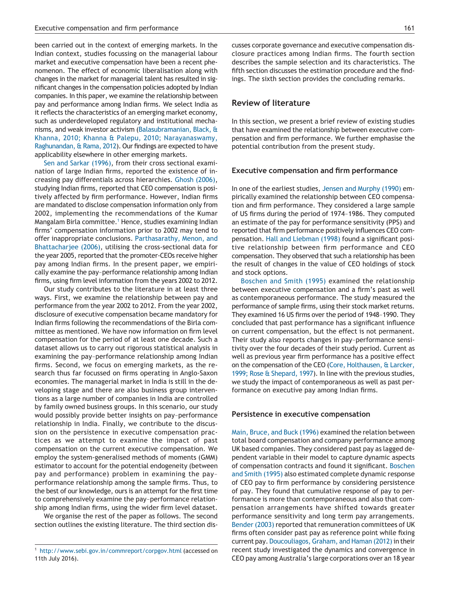been carried out in the context of emerging markets. In the Indian context, studies focussing on the managerial labour market and executive compensation have been a recent phenomenon. The effect of economic liberalisation along with changes in the market for managerial talent has resulted in significant changes in the compensation policies adopted by Indian companies. In this paper, we examine the relationship between pay and performance among Indian firms. We select India as it reflects the characteristics of an emerging market economy, such as underdeveloped regulatory and institutional mechanisms, and weak investor activism [\(Balasubramanian, Black, &](#page-8-3) [Khanna, 2010; Khanna & Palepu, 2010; Narayanaswamy,](#page-8-3) [Raghunandan, & Rama, 2012\)](#page-8-3). Our findings are expected to have applicability elsewhere in other emerging markets.

[Sen and Sarkar \(1996\),](#page-9-3) from their cross sectional examination of large Indian firms, reported the existence of increasing pay differentials across hierarchies. [Ghosh \(2006\),](#page-9-4) studying Indian firms, reported that CEO compensation is positively affected by firm performance. However, Indian firms are mandated to disclose compensation information only from 2002, implementing the recommendations of the Kumar Mangalam Birla committee.<sup>1</sup> Hence, studies examining Indian firms' compensation information prior to 2002 may tend to offer inappropriate conclusions. [Parthasarathy, Menon, and](#page-9-5) Bhattachariee (2006), utilising the cross-sectional data for the year 2005, reported that the promoter-CEOs receive higher pay among Indian firms. In the present paper, we empirically examine the pay–performance relationship among Indian firms, using firm level information from the years 2002 to 2012.

Our study contributes to the literature in at least three ways. First, we examine the relationship between pay and performance from the year 2002 to 2012. From the year 2002, disclosure of executive compensation became mandatory for Indian firms following the recommendations of the Birla committee as mentioned. We have now information on firm level compensation for the period of at least one decade. Such a dataset allows us to carry out rigorous statistical analysis in examining the pay–performance relationship among Indian firms. Second, we focus on emerging markets, as the research thus far focussed on firms operating in Anglo-Saxon economies. The managerial market in India is still in the developing stage and there are also business group interventions as a large number of companies in India are controlled by family owned business groups. In this scenario, our study would possibly provide better insights on pay–performance relationship in India. Finally, we contribute to the discussion on the persistence in executive compensation practices as we attempt to examine the impact of past compensation on the current executive compensation. We employ the system-generalised methods of moments (GMM) estimator to account for the potential endogeneity (between pay and performance) problem in examining the pay– performance relationship among the sample firms. Thus, to the best of our knowledge, ours is an attempt for the first time to comprehensively examine the pay–performance relationship among Indian firms, using the wider firm level dataset.

We organise the rest of the paper as follows. The second section outlines the existing literature. The third section discusses corporate governance and executive compensation disclosure practices among Indian firms. The fourth section describes the sample selection and its characteristics. The fifth section discusses the estimation procedure and the findings. The sixth section provides the concluding remarks.

## **Review of literature**

In this section, we present a brief review of existing studies that have examined the relationship between executive compensation and firm performance. We further emphasise the potential contribution from the present study.

#### **Executive compensation and firm performance**

In one of the earliest studies, [Jensen and Murphy \(1990\)](#page-9-1) empirically examined the relationship between CEO compensation and firm performance. They considered a large sample of US firms during the period of 1974–1986. They computed an estimate of the pay for performance sensitivity (PPS) and reported that firm performance positively influences CEO compensation. [Hall and Liebman \(1998\)](#page-9-6) found a significant positive relationship between firm performance and CEO compensation. They observed that such a relationship has been the result of changes in the value of CEO holdings of stock and stock options.

[Boschen and Smith \(1995\)](#page-8-4) examined the relationship between executive compensation and a firm's past as well as contemporaneous performance. The study measured the performance of sample firms, using their stock market returns. They examined 16 US firms over the period of 1948–1990. They concluded that past performance has a significant influence on current compensation, but the effect is not permanent. Their study also reports changes in pay–performance sensitivity over the four decades of their study period. Current as well as previous year firm performance has a positive effect on the compensation of the CEO [\(Core, Holthausen, & Larcker,](#page-8-5) [1999; Rose & Shepard, 1997\)](#page-8-5). In line with the previous studies, we study the impact of contemporaneous as well as past performance on executive pay among Indian firms.

#### **Persistence in executive compensation**

[Main, Bruce, and Buck \(1996\)](#page-9-7) examined the relation between total board compensation and company performance among UK based companies. They considered past pay as lagged dependent variable in their model to capture dynamic aspects of compensation contracts and found it significant. [Boschen](#page-8-4) [and Smith \(1995\)](#page-8-4) also estimated complete dynamic response of CEO pay to firm performance by considering persistence of pay. They found that cumulative response of pay to performance is more than contemporaneous and also that compensation arrangements have shifted towards greater performance sensitivity and long term pay arrangements. [Bender \(2003\)](#page-8-6) reported that remuneration committees of UK firms often consider past pay as reference point while fixing current pay. [Doucouliagos, Graham, and Haman \(2012\)](#page-8-7) in their recent study investigated the dynamics and convergence in CEO pay among Australia's large corporations over an 18 year

<span id="page-1-0"></span><sup>1</sup> <http://www.sebi.gov.in/commreport/corpgov.html> (accessed on 11th July 2016).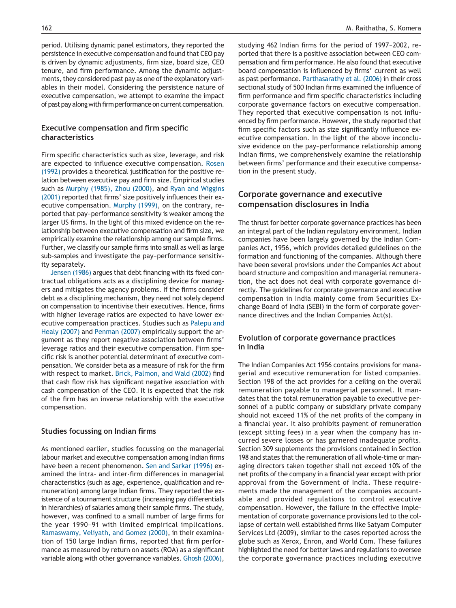period. Utilising dynamic panel estimators, they reported the persistence in executive compensation and found that CEO pay is driven by dynamic adjustments, firm size, board size, CEO tenure, and firm performance. Among the dynamic adjustments, they considered past pay as one of the explanatory variables in their model. Considering the persistence nature of executive compensation, we attempt to examine the impact of past pay along with firm performance on current compensation.

# **Executive compensation and firm specific characteristics**

Firm specific characteristics such as size, leverage, and risk are expected to influence executive compensation. [Rosen](#page-9-8) [\(1992\)](#page-9-8) provides a theoretical justification for the positive relation between executive pay and firm size. Empirical studies such as [Murphy \(1985\), Zhou \(2000\),](#page-9-9) and [Ryan and Wiggins](#page-9-10) [\(2001\)](#page-9-10) reported that firms' size positively influences their executive compensation. [Murphy \(1999\),](#page-9-11) on the contrary, reported that pay–performance sensitivity is weaker among the larger US firms. In the light of this mixed evidence on the relationship between executive compensation and firm size, we empirically examine the relationship among our sample firms. Further, we classify our sample firms into small as well as large sub-samples and investigate the pay–performance sensitivity separately.

[Jensen \(1986\)](#page-9-12) argues that debt financing with its fixed contractual obligations acts as a disciplining device for managers and mitigates the agency problems. If the firms consider debt as a disciplining mechanism, they need not solely depend on compensation to incentivise their executives. Hence, firms with higher leverage ratios are expected to have lower executive compensation practices. Studies such as [Palepu and](#page-9-13) [Healy \(2007\)](#page-9-13) and [Penman \(2007\)](#page-9-14) empirically support the argument as they report negative association between firms' leverage ratios and their executive compensation. Firm specific risk is another potential determinant of executive compensation. We consider beta as a measure of risk for the firm with respect to market. [Brick, Palmon, and Wald \(2002\)](#page-8-8) find that cash flow risk has significant negative association with cash compensation of the CEO. It is expected that the risk of the firm has an inverse relationship with the executive compensation.

#### **Studies focussing on Indian firms**

As mentioned earlier, studies focussing on the managerial labour market and executive compensation among Indian firms have been a recent phenomenon. [Sen and Sarkar \(1996\)](#page-9-3) examined the intra- and inter-firm differences in managerial characteristics (such as age, experience, qualification and remuneration) among large Indian firms. They reported the existence of a tournament structure (increasing pay differentials in hierarchies) of salaries among their sample firms. The study, however, was confined to a small number of large firms for the year 1990–91 with limited empirical implications. [Ramaswamy, Veliyath, and Gomez \(2000\),](#page-9-15) in their examination of 150 large Indian firms, reported that firm performance as measured by return on assets (ROA) as a significant variable along with other governance variables. [Ghosh \(2006\),](#page-9-4) studying 462 Indian firms for the period of 1997–2002, reported that there is a positive association between CEO compensation and firm performance. He also found that executive board compensation is influenced by firms' current as well as past performance. [Parthasarathy et al. \(2006\)](#page-9-5) in their cross sectional study of 500 Indian firms examined the influence of firm performance and firm specific characteristics including corporate governance factors on executive compensation. They reported that executive compensation is not influenced by firm performance. However, the study reported that firm specific factors such as size significantly influence executive compensation. In the light of the above inconclusive evidence on the pay–performance relationship among Indian firms, we comprehensively examine the relationship between firms' performance and their executive compensation in the present study.

# **Corporate governance and executive compensation disclosures in India**

The thrust for better corporate governance practices has been an integral part of the Indian regulatory environment. Indian companies have been largely governed by the Indian Companies Act, 1956, which provides detailed guidelines on the formation and functioning of the companies. Although there have been several provisions under the Companies Act about board structure and composition and managerial remuneration, the act does not deal with corporate governance directly. The guidelines for corporate governance and executive compensation in India mainly come from Securities Exchange Board of India (SEBI) in the form of corporate governance directives and the Indian Companies Act(s).

# **Evolution of corporate governance practices in India**

The Indian Companies Act 1956 contains provisions for managerial and executive remuneration for listed companies. Section 198 of the act provides for a ceiling on the overall remuneration payable to managerial personnel. It mandates that the total remuneration payable to executive personnel of a public company or subsidiary private company should not exceed 11% of the net profits of the company in a financial year. It also prohibits payment of remuneration (except sitting fees) in a year when the company has incurred severe losses or has garnered inadequate profits. Section 309 supplements the provisions contained in Section 198 and states that the remuneration of all whole-time or managing directors taken together shall not exceed 10% of the net profits of the company in a financial year except with prior approval from the Government of India. These requirements made the management of the companies accountable and provided regulations to control executive compensation. However, the failure in the effective implementation of corporate governance provisions led to the collapse of certain well established firms like Satyam Computer Services Ltd (2009), similar to the cases reported across the globe such as Xerox, Enron, and World Com. These failures highlighted the need for better laws and regulations to oversee the corporate governance practices including executive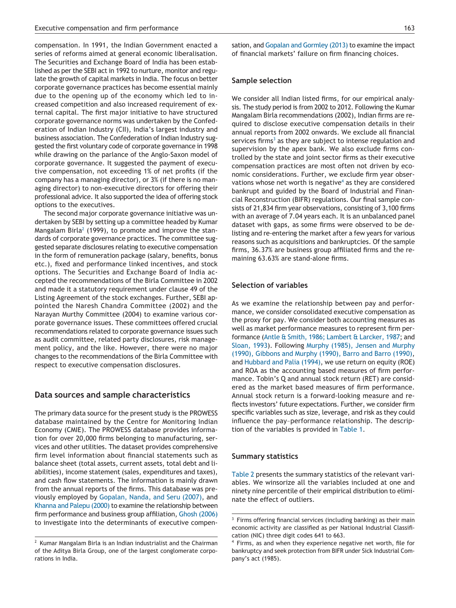compensation. In 1991, the Indian Government enacted a series of reforms aimed at general economic liberalisation. The Securities and Exchange Board of India has been established as per the SEBI act in 1992 to nurture, monitor and regulate the growth of capital markets in India. The focus on better corporate governance practices has become essential mainly due to the opening up of the economy which led to increased competition and also increased requirement of external capital. The first major initiative to have structured corporate governance norms was undertaken by the Confederation of Indian Industry (CII), India's largest industry and business association. The Confederation of Indian Industry suggested the first voluntary code of corporate governance in 1998 while drawing on the parlance of the Anglo-Saxon model of corporate governance. It suggested the payment of executive compensation, not exceeding 1% of net profits (if the company has a managing director), or 3% (if there is no managing director) to non-executive directors for offering their professional advice. It also supported the idea of offering stock options to the executives.

The second major corporate governance initiative was undertaken by SEBI by setting up a committee headed by Kumar Mangalam Birla<sup>2</sup> (1999), to promote and improve the standards of corporate governance practices. The committee suggested separate disclosures relating to executive compensation in the form of remuneration package (salary, benefits, bonus etc.), fixed and performance linked incentives, and stock options. The Securities and Exchange Board of India accepted the recommendations of the Birla Committee in 2002 and made it a statutory requirement under clause 49 of the Listing Agreement of the stock exchanges. Further, SEBI appointed the Naresh Chandra Committee (2002) and the Narayan Murthy Committee (2004) to examine various corporate governance issues. These committees offered crucial recommendations related to corporate governance issues such as audit committee, related party disclosures, risk management policy, and the like. However, there were no major changes to the recommendations of the Birla Committee with respect to executive compensation disclosures.

## **Data sources and sample characteristics**

The primary data source for the present study is the PROWESS database maintained by the Centre for Monitoring Indian Economy (CMIE). The PROWESS database provides information for over 20,000 firms belonging to manufacturing, services and other utilities. The dataset provides comprehensive firm level information about financial statements such as balance sheet (total assets, current assets, total debt and liabilities), income statement (sales, expenditures and taxes), and cash flow statements. The information is mainly drawn from the annual reports of the firms. This database was previously employed by [Gopalan, Nanda, and Seru \(2007\),](#page-9-16) and [Khanna and Palepu \(2000\)](#page-9-17) to examine the relationship between firm performance and business group affiliation, [Ghosh \(2006\)](#page-9-4) to investigate into the determinants of executive compensation, and [Gopalan and Gormley \(2013\)](#page-9-18) to examine the impact of financial markets' failure on firm financing choices.

#### **Sample selection**

We consider all Indian listed firms, for our empirical analysis. The study period is from 2002 to 2012. Following the Kumar Mangalam Birla recommendations (2002), Indian firms are required to disclose executive compensation details in their annual reports from 2002 onwards. We exclude all financial services firms<sup>3</sup> as they are subject to intense regulation and supervision by the apex bank. We also exclude firms controlled by the state and joint sector firms as their executive compensation practices are most often not driven by economic considerations. Further, we exclude firm year observations whose net worth is negative<sup>4</sup> as they are considered bankrupt and guided by the Board of Industrial and Financial Reconstruction (BIFR) regulations. Our final sample consists of 21,834 firm year observations, consisting of 3,100 firms with an average of 7.04 years each. It is an unbalanced panel dataset with gaps, as some firms were observed to be delisting and re-entering the market after a few years for various reasons such as acquisitions and bankruptcies. Of the sample firms, 36.37% are business group affiliated firms and the remaining 63.63% are stand-alone firms.

# **Selection of variables**

As we examine the relationship between pay and performance, we consider consolidated executive compensation as the proxy for pay. We consider both accounting measures as well as market performance measures to represent firm performance [\(Antle & Smith, 1986; Lambert & Larcker, 1987;](#page-8-9) and [Sloan, 1993\)](#page-9-19). Following [Murphy \(1985\), Jensen and Murphy](#page-9-9) [\(1990\), Gibbons and Murphy \(1990\), Barro and Barro \(1990\),](#page-9-9) and [Hubbard and Palia \(1994\),](#page-9-20) we use return on equity (ROE) and ROA as the accounting based measures of firm performance. Tobin's Q and annual stock return (RET) are considered as the market based measures of firm performance. Annual stock return is a forward-looking measure and reflects investors' future expectations. Further, we consider firm specific variables such as size, leverage, and risk as they could influence the pay–performance relationship. The description of the variables is provided in [Table 1.](#page-4-0)

#### **Summary statistics**

[Table 2](#page-4-0) presents the summary statistics of the relevant variables. We winsorize all the variables included at one and ninety nine percentile of their empirical distribution to eliminate the effect of outliers.

<span id="page-3-0"></span><sup>2</sup> Kumar Mangalam Birla is an Indian industrialist and the Chairman of the Aditya Birla Group, one of the largest conglomerate corporations in India.

<span id="page-3-1"></span> $3$  Firms offering financial services (including banking) as their main economic activity are classified as per National Industrial Classification (NIC) three digit codes 641 to 663.

<span id="page-3-2"></span>Firms, as and when they experience negative net worth, file for bankruptcy and seek protection from BIFR under Sick Industrial Company's act (1985).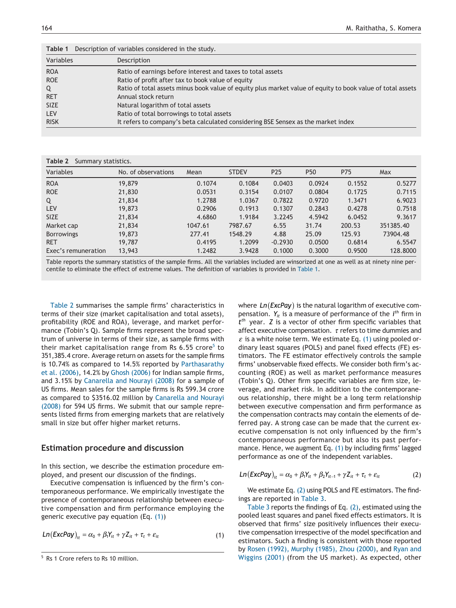<span id="page-4-0"></span>

| Table 1     | Description of variables considered in the study.                                                          |
|-------------|------------------------------------------------------------------------------------------------------------|
| Variables   | Description                                                                                                |
| <b>ROA</b>  | Ratio of earnings before interest and taxes to total assets                                                |
| <b>ROE</b>  | Ratio of profit after tax to book value of equity                                                          |
| Q           | Ratio of total assets minus book value of equity plus market value of equity to book value of total assets |
| <b>RET</b>  | Annual stock return                                                                                        |
| <b>SIZE</b> | Natural logarithm of total assets                                                                          |
| <b>LEV</b>  | Ratio of total borrowings to total assets                                                                  |
| <b>RISK</b> | It refers to company's beta calculated considering BSE Sensex as the market index                          |
|             |                                                                                                            |

| Table 2<br>Summary statistics. |                     |         |              |                 |                 |        |           |  |  |  |
|--------------------------------|---------------------|---------|--------------|-----------------|-----------------|--------|-----------|--|--|--|
| Variables                      | No. of observations | Mean    | <b>STDEV</b> | P <sub>25</sub> | P <sub>50</sub> | P75    | Max       |  |  |  |
| <b>ROA</b>                     | 19,879              | 0.1074  | 0.1084       | 0.0403          | 0.0924          | 0.1552 | 0.5277    |  |  |  |
| <b>ROE</b>                     | 21,830              | 0.0531  | 0.3154       | 0.0107          | 0.0804          | 0.1725 | 0.7115    |  |  |  |
| Q                              | 21,834              | 1.2788  | 1.0367       | 0.7822          | 0.9720          | 1.3471 | 6.9023    |  |  |  |
| <b>LEV</b>                     | 19,873              | 0.2906  | 0.1913       | 0.1307          | 0.2843          | 0.4278 | 0.7518    |  |  |  |
| <b>SIZE</b>                    | 21,834              | 4.6860  | 1.9184       | 3.2245          | 4.5942          | 6.0452 | 9.3617    |  |  |  |
| Market cap                     | 21,834              | 1047.61 | 7987.67      | 6.55            | 31.74           | 200.53 | 351385.40 |  |  |  |
| <b>Borrowings</b>              | 19,873              | 277.41  | 1548.29      | 4.88            | 25.09           | 125.93 | 73904.48  |  |  |  |
| <b>RET</b>                     | 19,787              | 0.4195  | 1.2099       | $-0.2930$       | 0.0500          | 0.6814 | 6.5547    |  |  |  |
| Exec's remuneration            | 13,943              | 1.2482  | 3.9428       | 0.1000          | 0.3000          | 0.9500 | 128,8000  |  |  |  |

Table reports the summary statistics of the sample firms. All the variables included are winsorized at one as well as at ninety nine percentile to eliminate the effect of extreme values. The definition of variables is provided in Table 1.

Table 2 summarises the sample firms' characteristics in terms of their size (market capitalisation and total assets), profitability (ROE and ROA), leverage, and market performance (Tobin's Q). Sample firms represent the broad spectrum of universe in terms of their size, as sample firms with their market capitalisation range from Rs  $6.55$  crore<sup>5</sup> to 351,385.4 crore. Average return on assets for the sample firms is 10.74% as compared to 14.5% reported by [Parthasarathy](#page-9-5) [et al. \(2006\),](#page-9-5) 14.2% by [Ghosh \(2006\)](#page-9-4) for Indian sample firms, and 3.15% by [Canarella and Nourayi \(2008\)](#page-8-10) for a sample of US firms. Mean sales for the sample firms is Rs 599.34 crore as compared to \$3516.02 million by [Canarella and Nourayi](#page-8-10) [\(2008\)](#page-8-10) for 594 US firms. We submit that our sample represents listed firms from emerging markets that are relatively small in size but offer higher market returns.

# **Estimation procedure and discussion**

In this section, we describe the estimation procedure employed, and present our discussion of the findings.

Executive compensation is influenced by the firm's contemporaneous performance. We empirically investigate the presence of contemporaneous relationship between executive compensation and firm performance employing the generic executive pay equation (Eq. [\(1\)\)](#page-4-2)

<span id="page-4-2"></span>
$$
Ln(ExcPay)_{it} = \alpha_0 + \beta_1 Y_{it} + \gamma Z_{it} + \tau_t + \varepsilon_{it}
$$
\n(1)

where *Ln*(*ExcPay*) is the natural logarithm of executive compensation. *Yit* is a measure of performance of the *i th* firm in *tth* year. *Z* is a vector of other firm specific variables that affect executive compensation.  $\tau$  refers to time dummies and  $\varepsilon$  is a white noise term. We estimate Eq. [\(1\)](#page-4-2) using pooled ordinary least squares (POLS) and panel fixed effects (FE) estimators. The FE estimator effectively controls the sample firms' unobservable fixed effects. We consider both firm's accounting (ROE) as well as market performance measures (Tobin's Q). Other firm specific variables are firm size, leverage, and market risk. In addition to the contemporaneous relationship, there might be a long term relationship between executive compensation and firm performance as the compensation contracts may contain the elements of deferred pay. A strong case can be made that the current executive compensation is not only influenced by the firm's contemporaneous performance but also its past performance. Hence, we augment Eq. [\(1\)](#page-4-2) by including firms' lagged performance as one of the independent variables.

<span id="page-4-3"></span>
$$
Ln(ExcPay)_{it} = \alpha_0 + \beta_1 Y_{it} + \beta_2 Y_{it-1} + \gamma Z_{it} + \tau_t + \varepsilon_{it}
$$
 (2)

We estimate Eq. [\(2\)](#page-4-3) using POLS and FE estimators. The findings are reported in [Table 3.](#page-5-0)

[Table 3](#page-5-0) reports the findings of Eq. [\(2\),](#page-4-3) estimated using the pooled least squares and panel fixed effects estimators. It is observed that firms' size positively influences their executive compensation irrespective of the model specification and estimators. Such a finding is consistent with those reported by [Rosen \(1992\), Murphy \(1985\), Zhou \(2000\),](#page-9-8) and [Ryan and](#page-9-10) <sup>5</sup> Rs 1 Crore refers to Rs 10 million. **Subseted as Expected**, other 5 Rs 1 Crore refers to Rs 10 million.

<span id="page-4-1"></span>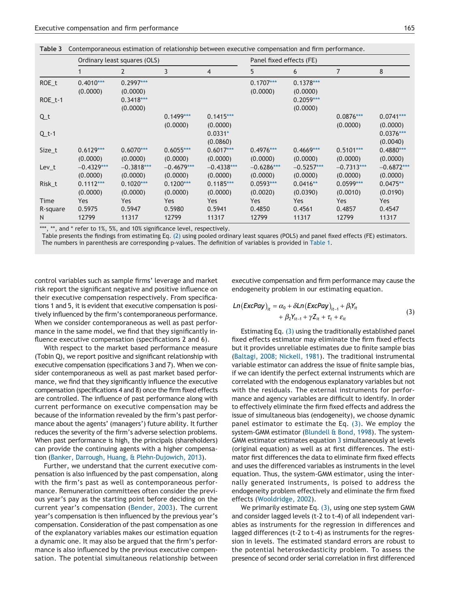<span id="page-5-0"></span>

|  | Table 3 Contemporaneous estimation of relationship between executive compensation and firm performance. |  |  |  |  |  |  |  |
|--|---------------------------------------------------------------------------------------------------------|--|--|--|--|--|--|--|
|--|---------------------------------------------------------------------------------------------------------|--|--|--|--|--|--|--|

|          |              | Ordinary least squares (OLS) |              |                | Panel fixed effects (FE) |              |              |              |  |
|----------|--------------|------------------------------|--------------|----------------|--------------------------|--------------|--------------|--------------|--|
|          |              | 2                            | 3            | $\overline{4}$ | 5                        | 6            | 7            | 8            |  |
| $ROE_t$  | $0.4010***$  | $0.2997***$                  |              |                | $0.1707***$              | $0.1378***$  |              |              |  |
|          | (0.0000)     | (0.0000)                     |              |                | (0.0000)                 | (0.0000)     |              |              |  |
| ROE_t-1  |              | $0.3418***$                  |              |                |                          | $0.2059***$  |              |              |  |
|          |              | (0.0000)                     |              |                |                          | (0.0000)     |              |              |  |
| Qt       |              |                              | $0.1499***$  | $0.1415***$    |                          |              | $0.0876***$  | $0.0741***$  |  |
|          |              |                              | (0.0000)     | (0.0000)       |                          |              | (0.0000)     | (0.0000)     |  |
| $Q_t-1$  |              |                              |              | $0.0331*$      |                          |              |              | $0.0376***$  |  |
|          |              |                              |              | (0.0860)       |                          |              |              | (0.0040)     |  |
| Size_t   | $0.6129***$  | $0.6070***$                  | $0.6055***$  | $0.6017***$    | $0.4976***$              | $0.4669***$  | $0.5101***$  | $0.4880***$  |  |
|          | (0.0000)     | (0.0000)                     | (0.0000)     | (0.0000)       | (0.0000)                 | (0.0000)     | (0.0000)     | (0.0000)     |  |
| $Lev_t$  | $-0.4329***$ | $-0.3818***$                 | $-0.4679***$ | $-0.4338***$   | $-0.6286***$             | $-0.5257***$ | $-0.7313***$ | $-0.6872***$ |  |
|          | (0.0000)     | (0.0000)                     | (0.0000)     | (0.0000)       | (0.0000)                 | (0.0000)     | (0.0000)     | (0.0000)     |  |
| Risk_t   | $0.1112***$  | $0.1020***$                  | $0.1200***$  | $0.1185***$    | $0.0593***$              | $0.0416**$   | $0.0599***$  | $0.0475**$   |  |
|          | (0.0000)     | (0.0000)                     | (0.0000)     | (0.0000)       | (0.0020)                 | (0.0390)     | (0.0010)     | (0.0190)     |  |
| Time     | Yes          | Yes                          | Yes          | Yes            | Yes                      | <b>Yes</b>   | Yes          | Yes          |  |
| R-square | 0.5975       | 0.5947                       | 0.5980       | 0.5941         | 0.4850                   | 0.4561       | 0.4857       | 0.4547       |  |
| N        | 12799        | 11317                        | 12799        | 11317          | 12799                    | 11317        | 12799        | 11317        |  |

<span id="page-5-2"></span>\*\*\*, \*\*, and \* refer to 1%, 5%, and 10% significance level, respectively.

Table presents the findings from estimating Eq. [\(2\)](#page-4-3) using pooled ordinary least squares (POLS) and panel fixed effects (FE) estimators. The numbers in parenthesis are corresponding p-values. The definition of variables is provided in [Table 1.](#page-4-0)

control variables such as sample firms' leverage and market risk report the significant negative and positive influence on their executive compensation respectively. From specifications 1 and 5, it is evident that executive compensation is positively influenced by the firm's contemporaneous performance. When we consider contemporaneous as well as past performance in the same model, we find that they significantly influence executive compensation (specifications 2 and 6).

With respect to the market based performance measure (Tobin Q), we report positive and significant relationship with executive compensation (specifications 3 and 7). When we consider contemporaneous as well as past market based performance, we find that they significantly influence the executive compensation (specifications 4 and 8) once the firm fixed effects are controlled. The influence of past performance along with current performance on executive compensation may be because of the information revealed by the firm's past performance about the agents' (managers') future ability. It further reduces the severity of the firm's adverse selection problems. When past performance is high, the principals (shareholders) can provide the continuing agents with a higher compensation [\(Banker, Darrough, Huang, & Plehn-Dujowich, 2013\)](#page-8-11).

Further, we understand that the current executive compensation is also influenced by the past compensation, along with the firm's past as well as contemporaneous performance. Remuneration committees often consider the previous year's pay as the starting point before deciding on the current year's compensation [\(Bender, 2003\)](#page-8-6). The current year's compensation is then influenced by the previous year's compensation. Consideration of the past compensation as one of the explanatory variables makes our estimation equation a dynamic one. It may also be argued that the firm's performance is also influenced by the previous executive compensation. The potential simultaneous relationship between executive compensation and firm performance may cause the endogeneity problem in our estimating equation.

<span id="page-5-1"></span>
$$
Ln(ExcPay)it = \alpha_0 + \delta Ln(ExcPay)it-1 + \beta_1 Y_{it}
$$
  
+  $\beta_2 Y_{it-1} + \gamma Z_{it} + \tau_t + \varepsilon_{it}$  (3)

Estimating Eq. [\(3\)](#page-5-1) using the traditionally established panel fixed effects estimator may eliminate the firm fixed effects but it provides unreliable estimates due to finite sample bias [\(Baltagi, 2008; Nickell, 1981\)](#page-8-12). The traditional instrumental variable estimator can address the issue of finite sample bias, if we can identify the perfect external instruments which are correlated with the endogenous explanatory variables but not with the residuals. The external instruments for performance and agency variables are difficult to identify. In order to effectively eliminate the firm fixed effects and address the issue of simultaneous bias (endogeneity), we choose dynamic panel estimator to estimate the Eq. [\(3\).](#page-5-1) We employ the system-GMM estimator [\(Blundell & Bond, 1998\)](#page-8-13). The system-GMM estimator estimates equation [3](#page-5-1) simultaneously at levels (original equation) as well as at first differences. The estimator first differences the data to eliminate firm fixed effects and uses the differenced variables as instruments in the level equation. Thus, the system-GMM estimator, using the internally generated instruments, is poised to address the endogeneity problem effectively and eliminate the firm fixed effects [\(Wooldridge, 2002\)](#page-9-21).

We primarily estimate Eq. [\(3\),](#page-5-1) using one step system GMM and consider lagged levels (t-2 to t-4) of all independent variables as instruments for the regression in differences and lagged differences (t-2 to t-4) as instruments for the regression in levels. The estimated standard errors are robust to the potential heteroskedasticity problem. To assess the presence of second order serial correlation in first differenced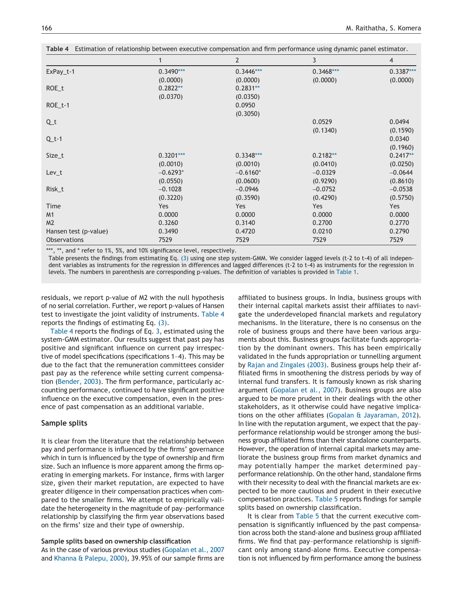|                       |             | 2           | 3           | $\overline{4}$ |
|-----------------------|-------------|-------------|-------------|----------------|
| $ExPay_t-1$           | $0.3490***$ | $0.3446***$ | $0.3468***$ | $0.3387***$    |
|                       | (0.0000)    | (0.0000)    | (0.0000)    | (0.0000)       |
| $ROE_t$               | $0.2822**$  | $0.2831**$  |             |                |
|                       | (0.0370)    | (0.0350)    |             |                |
| $ROE_t-1$             |             | 0.0950      |             |                |
|                       |             | (0.3050)    |             |                |
| $Q_t$                 |             |             | 0.0529      | 0.0494         |
|                       |             |             | (0.1340)    | (0.1590)       |
| $Q_t-1$               |             |             |             | 0.0340         |
|                       |             |             |             | (0.1960)       |
| Size_t                | $0.3201***$ | $0.3348***$ | $0.2182**$  | $0.2417**$     |
|                       | (0.0010)    | (0.0010)    | (0.0410)    | (0.0250)       |
| $Lev_t$               | $-0.6293*$  | $-0.6160*$  | $-0.0329$   | $-0.0644$      |
|                       | (0.0550)    | (0.0600)    | (0.9290)    | (0.8610)       |
| Risk_t                | $-0.1028$   | $-0.0946$   | $-0.0752$   | $-0.0538$      |
|                       | (0.3220)    | (0.3590)    | (0.4290)    | (0.5750)       |
| Time                  | Yes         | Yes         | Yes         | Yes            |
| M1                    | 0.0000      | 0.0000      | 0.0000      | 0.0000         |
| M <sub>2</sub>        | 0.3260      | 0.3140      | 0.2700      | 0.2770         |
| Hansen test (p-value) | 0.3490      | 0.4720      | 0.0210      | 0.2790         |
| <b>Observations</b>   | 7529        | 7529        | 7529        | 7529           |

**Table 4** Estimation of relationship between executive compensation and firm performance using dynamic panel estimator.

<span id="page-6-0"></span>\*\*\*, \*\*, and \* refer to 1%, 5%, and 10% significance level, respectively.

Table presents the findings from estimating Eq. [\(3\)](#page-5-1) using one step system-GMM. We consider lagged levels (t-2 to t-4) of all independent variables as instruments for the regression in differences and lagged differences (t-2 to t-4) as instruments for the regression in levels. The numbers in parenthesis are corresponding p-values. The definition of variables is provided in [Table 1.](#page-4-0)

residuals, we report p-value of M2 with the null hypothesis of no serial correlation. Further, we report p-values of Hansen test to investigate the joint validity of instruments. Table 4 reports the findings of estimating Eq. [\(3\).](#page-5-1)

Table 4 reports the findings of Eq. [3,](#page-5-1) estimated using the system-GMM estimator. Our results suggest that past pay has positive and significant influence on current pay irrespective of model specifications (specifications 1–4). This may be due to the fact that the remuneration committees consider past pay as the reference while setting current compensation [\(Bender, 2003\)](#page-8-6). The firm performance, particularly accounting performance, continued to have significant positive influence on the executive compensation, even in the presence of past compensation as an additional variable.

## **Sample splits**

It is clear from the literature that the relationship between pay and performance is influenced by the firms' governance which in turn is influenced by the type of ownership and firm size. Such an influence is more apparent among the firms operating in emerging markets. For instance, firms with larger size, given their market reputation, are expected to have greater diligence in their compensation practices when compared to the smaller firms. We attempt to empirically validate the heterogeneity in the magnitude of pay–performance relationship by classifying the firm year observations based on the firms' size and their type of ownership.

#### **Sample splits based on ownership classification**

As in the case of various previous studies [\(Gopalan et al., 2007](#page-9-16) and [Khanna & Palepu, 2000\)](#page-9-17), 39.95% of our sample firms are

affiliated to business groups. In India, business groups with their internal capital markets assist their affiliates to navigate the underdeveloped financial markets and regulatory mechanisms. In the literature, there is no consensus on the role of business groups and there have been various arguments about this. Business groups facilitate funds appropriation by the dominant owners. This has been empirically validated in the funds appropriation or tunnelling argument by [Rajan and Zingales \(2003\).](#page-9-22) Business groups help their affiliated firms in smoothening the distress periods by way of internal fund transfers. It is famously known as risk sharing argument [\(Gopalan et al., 2007\)](#page-9-16). Business groups are also argued to be more prudent in their dealings with the other stakeholders, as it otherwise could have negative implications on the other affiliates [\(Gopalan & Jayaraman, 2012\)](#page-9-23). In line with the reputation argument, we expect that the pay– performance relationship would be stronger among the business group affiliated firms than their standalone counterparts. However, the operation of internal capital markets may ameliorate the business group firms from market dynamics and may potentially hamper the market determined pay– performance relationship. On the other hand, standalone firms with their necessity to deal with the financial markets are expected to be more cautious and prudent in their executive compensation practices. [Table 5](#page-7-0) reports findings for sample splits based on ownership classification.

It is clear from [Table 5](#page-7-0) that the current executive compensation is significantly influenced by the past compensation across both the stand-alone and business group affiliated firms. We find that pay–performance relationship is significant only among stand-alone firms. Executive compensation is not influenced by firm performance among the business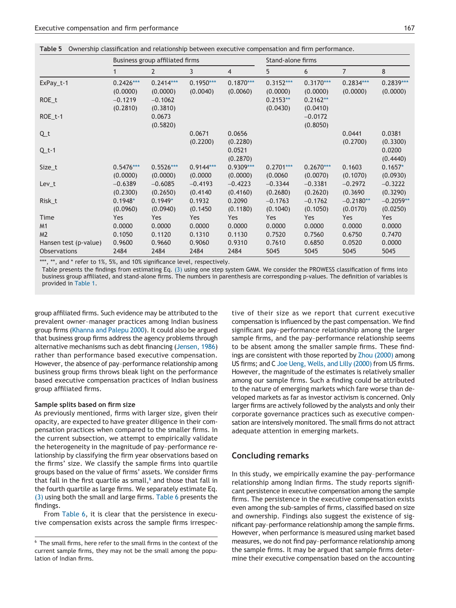<span id="page-7-0"></span>

| Table 5 Ownership classification and relationship between executive compensation and firm performance. |  |
|--------------------------------------------------------------------------------------------------------|--|
|--------------------------------------------------------------------------------------------------------|--|

|                       | Business group affiliated firms |                |                |                | Stand-alone firms |             |                |             |
|-----------------------|---------------------------------|----------------|----------------|----------------|-------------------|-------------|----------------|-------------|
|                       |                                 | $\overline{2}$ | $\overline{3}$ | $\overline{4}$ | 5                 | 6           | $\overline{7}$ | 8           |
| ExPay_t-1             | $0.2426***$                     | $0.2414***$    | $0.1950***$    | $0.1870***$    | $0.3152***$       | $0.3170***$ | $0.2834***$    | $0.2839***$ |
|                       | (0.0000)                        | (0.0000)       | (0.0040)       | (0.0060)       | (0.0000)          | (0.0000)    | (0.0000)       | (0.0000)    |
| $ROE_t$               | $-0.1219$                       | $-0.1062$      |                |                | $0.2153**$        | $0.2162**$  |                |             |
|                       | (0.2810)                        | (0.3810)       |                |                | (0.0430)          | (0.0410)    |                |             |
| ROE_t-1               |                                 | 0.0673         |                |                |                   | $-0.0172$   |                |             |
|                       |                                 | (0.5820)       |                |                |                   | (0.8050)    |                |             |
| $Q_t$                 |                                 |                | 0.0671         | 0.0656         |                   |             | 0.0441         | 0.0381      |
|                       |                                 |                | (0.2200)       | (0.2280)       |                   |             | (0.2700)       | (0.3300)    |
| $Q_t-1$               |                                 |                |                | 0.0521         |                   |             |                | 0.0200      |
|                       |                                 |                |                | (0.2870)       |                   |             |                | (0.4440)    |
| Size_t                | $0.5476***$                     | $0.5526***$    | $0.9144***$    | $0.9309***$    | $0.2701***$       | $0.2670***$ | 0.1603         | $0.1657*$   |
|                       | (0.0000)                        | (0.0000)       | (0.0000)       | (0.0000)       | (0.0060)          | (0.0070)    | (0.1070)       | (0.0930)    |
| $Lev_t$               | $-0.6389$                       | $-0.6085$      | $-0.4193$      | $-0.4223$      | $-0.3344$         | $-0.3381$   | $-0.2972$      | $-0.3222$   |
|                       | (0.2300)                        | (0.2650)       | (0.4140)       | (0.4160)       | (0.2680)          | (0.2620)    | (0.3690)       | (0.3290)    |
| Risk_t                | $0.1948*$                       | $0.1949*$      | 0.1932         | 0.2090         | $-0.1763$         | $-0.1762$   | $-0.2180**$    | $-0.2059**$ |
|                       | (0.0960)                        | (0.0940)       | (0.1450)       | (0.1180)       | (0.1040)          | (0.1050)    | (0.0170)       | (0.0250)    |
| Time                  | <b>Yes</b>                      | Yes            | Yes            | Yes            | Yes               | <b>Yes</b>  | Yes            | Yes         |
| M1                    | 0.0000                          | 0.0000         | 0.0000         | 0.0000         | 0.0000            | 0.0000      | 0.0000         | 0.0000      |
| M <sub>2</sub>        | 0.1050                          | 0.1120         | 0.1310         | 0.1130         | 0.7520            | 0.7560      | 0.6750         | 0.7470      |
| Hansen test (p-value) | 0.9600                          | 0.9660         | 0.9060         | 0.9310         | 0.7610            | 0.6850      | 0.0520         | 0.0000      |
| <b>Observations</b>   | 2484                            | 2484           | 2484           | 2484           | 5045              | 5045        | 5045           | 5045        |

<span id="page-7-2"></span>\*\*\*, \*\*, and \* refer to 1%, 5%, and 10% significance level, respectively.

Table presents the findings from estimating Eq. [\(3\)](#page-5-1) using one step system GMM. We consider the PROWESS classification of firms into business group affiliated, and stand-alone firms. The numbers in parenthesis are corresponding p-values. The definition of variables is provided in [Table 1.](#page-4-0)

group affiliated firms. Such evidence may be attributed to the prevalent owner–manager practices among Indian business group firms [\(Khanna and Palepu 2000\)](#page-9-17). It could also be argued that business group firms address the agency problems through alternative mechanisms such as debt financing [\(Jensen, 1986\)](#page-9-12) rather than performance based executive compensation. However, the absence of pay–performance relationship among business group firms throws bleak light on the performance based executive compensation practices of Indian business group affiliated firms.

#### **Sample splits based on firm size**

As previously mentioned, firms with larger size, given their opacity, are expected to have greater diligence in their compensation practices when compared to the smaller firms. In the current subsection, we attempt to empirically validate the heterogeneity in the magnitude of pay–performance relationship by classifying the firm year observations based on the firms' size. We classify the sample firms into quartile groups based on the value of firms' assets. We consider firms that fall in the first quartile as small, $6$  and those that fall in the fourth quartile as large firms. We separately estimate Eq. [\(3\)](#page-5-1) using both the small and large firms. [Table 6](#page-8-14) presents the findings.

From [Table 6,](#page-8-14) it is clear that the persistence in executive compensation exists across the sample firms irrespective of their size as we report that current executive compensation is influenced by the past compensation. We find significant pay–performance relationship among the larger sample firms, and the pay–performance relationship seems to be absent among the smaller sample firms. These findings are consistent with those reported by [Zhou \(2000\)](#page-9-24) among US firms; and C [Joe Ueng, Wells, and Lilly \(2000\)](#page-9-25) from US firms. However, the magnitude of the estimates is relatively smaller among our sample firms. Such a finding could be attributed to the nature of emerging markets which fare worse than developed markets as far as investor activism is concerned. Only larger firms are actively followed by the analysts and only their corporate governance practices such as executive compensation are intensively monitored. The small firms do not attract adequate attention in emerging markets.

# **Concluding remarks**

In this study, we empirically examine the pay–performance relationship among Indian firms. The study reports significant persistence in executive compensation among the sample firms. The persistence in the executive compensation exists even among the sub-samples of firms, classified based on size and ownership. Findings also suggest the existence of significant pay–performance relationship among the sample firms. However, when performance is measured using market based measures, we do not find pay–performance relationship among the sample firms. It may be argued that sample firms determine their executive compensation based on the accounting

<span id="page-7-1"></span> $6$  The small firms, here refer to the small firms in the context of the current sample firms, they may not be the small among the population of Indian firms.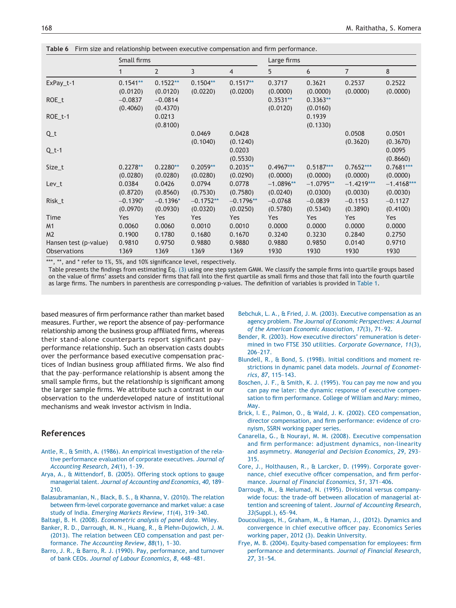|                       | Small firms |                |             |                | Large firms |             |                |              |
|-----------------------|-------------|----------------|-------------|----------------|-------------|-------------|----------------|--------------|
|                       |             | $\overline{2}$ | 3           | $\overline{4}$ | 5           | 6           | $\overline{7}$ | 8            |
| ExPay_t-1             | $0.1541**$  | $0.1522**$     | $0.1504**$  | $0.1517**$     | 0.3717      | 0.3621      | 0.2537         | 0.2522       |
|                       | (0.0120)    | (0.0120)       | (0.0220)    | (0.0200)       | (0.0000)    | (0.0000)    | (0.0000)       | (0.0000)     |
| ROE_t                 | $-0.0837$   | $-0.0814$      |             |                | $0.3531**$  | $0.3363**$  |                |              |
|                       | (0.4060)    | (0.4370)       |             |                | (0.0120)    | (0.0160)    |                |              |
| ROE_t-1               |             | 0.0213         |             |                |             | 0.1939      |                |              |
|                       |             | (0.8100)       |             |                |             | (0.1330)    |                |              |
| $Q_t$                 |             |                | 0.0469      | 0.0428         |             |             | 0.0508         | 0.0501       |
|                       |             |                | (0.1040)    | (0.1240)       |             |             | (0.3620)       | (0.3670)     |
| $Q_t-1$               |             |                |             | 0.0203         |             |             |                | 0.0095       |
|                       |             |                |             | (0.5530)       |             |             |                | (0.8660)     |
| Size_t                | $0.2278**$  | $0.2280**$     | $0.2059**$  | $0.2035**$     | $0.4967***$ | $0.5187***$ | $0.7652***$    | $0.7681***$  |
|                       | (0.0280)    | (0.0280)       | (0.0280)    | (0.0290)       | (0.0000)    | (0.0000)    | (0.0000)       | (0.0000)     |
| $Lev_t$               | 0.0384      | 0.0426         | 0.0794      | 0.0778         | $-1.0896**$ | $-1.0795**$ | $-1.4219***$   | $-1.4168***$ |
|                       | (0.8720)    | (0.8560)       | (0.7530)    | (0.7580)       | (0.0240)    | (0.0300)    | (0.0030)       | (0.0030)     |
| Risk_t                | $-0.1390*$  | $-0.1396*$     | $-0.1752**$ | $-0.1796**$    | $-0.0768$   | $-0.0839$   | $-0.1153$      | $-0.1127$    |
|                       | (0.0970)    | (0.0930)       | (0.0320)    | (0.0250)       | (0.5780)    | (0.5340)    | (0.3890)       | (0.4100)     |
| Time                  | Yes         | Yes            | Yes         | Yes            | Yes         | Yes         | Yes            | Yes          |
| M1                    | 0.0060      | 0.0060         | 0.0010      | 0.0010         | 0.0000      | 0.0000      | 0.0000         | 0.0000       |
| M <sub>2</sub>        | 0.1900      | 0.1780         | 0.1680      | 0.1670         | 0.3240      | 0.3230      | 0.2840         | 0.2750       |
| Hansen test (p-value) | 0.9810      | 0.9750         | 0.9880      | 0.9880         | 0.9880      | 0.9850      | 0.0140         | 0.9710       |
| <b>Observations</b>   | 1369        | 1369           | 1369        | 1369           | 1930        | 1930        | 1930           | 1930         |

<span id="page-8-14"></span>**Table 6** Firm size and relationship between executive compensation and firm performance.

<span id="page-8-15"></span>\*\*\*, \*\*, and \* refer to 1%, 5%, and 10% significance level, respectively.

Table presents the findings from estimating Eq. [\(3\)](#page-5-1) using one step system GMM. We classify the sample firms into quartile groups based on the value of firms' assets and consider firms that fall into the first quartile as small firms and those that fall into the fourth quartile as large firms. The numbers in parenthesis are corresponding p-values. The definition of variables is provided in [Table 1.](#page-4-0)

based measures of firm performance rather than market based measures. Further, we report the absence of pay–performance relationship among the business group affiliated firms, whereas their stand-alone counterparts report significant pay– performance relationship. Such an observation casts doubts over the performance based executive compensation practices of Indian business group affiliated firms. We also find that the pay–performance relationship is absent among the small sample firms, but the relationship is significant among the larger sample firms. We attribute such a contrast in our observation to the underdeveloped nature of institutional mechanisms and weak investor activism in India.

# **References**

- <span id="page-8-9"></span>[Antle, R., & Smith, A. \(1986\). An empirical investigation of the rela](http://refhub.elsevier.com/S0970-3896(16)30046-5/sr0010)[tive performance evaluation of corporate executives.](http://refhub.elsevier.com/S0970-3896(16)30046-5/sr0010) *Journal of [Accounting Research](http://refhub.elsevier.com/S0970-3896(16)30046-5/sr0010)*, *24*(1), 1–39.
- <span id="page-8-1"></span>[Arya, A., & Mittendorf, B. \(2005\). Offering stock options to gauge](http://refhub.elsevier.com/S0970-3896(16)30046-5/sr0015) managerial talent. *[Journal of Accounting and Economics](http://refhub.elsevier.com/S0970-3896(16)30046-5/sr0015)*, *40*, 189– [210.](http://refhub.elsevier.com/S0970-3896(16)30046-5/sr0015)
- <span id="page-8-3"></span>[Balasubramanian, N., Black, B. S., & Khanna, V. \(2010\). The relation](http://refhub.elsevier.com/S0970-3896(16)30046-5/sr0020) [between firm-level corporate governance and market value: a case](http://refhub.elsevier.com/S0970-3896(16)30046-5/sr0020) study of India. *[Emerging Markets Review](http://refhub.elsevier.com/S0970-3896(16)30046-5/sr0020)*, *11*(4), 319–340.
- <span id="page-8-12"></span><span id="page-8-11"></span>Baltagi, B. H. (2008). *[Econometric analysis of panel data](http://refhub.elsevier.com/S0970-3896(16)30046-5/sr0025)*. Wiley.
- [Banker, R. D., Darrough, M. N., Huang, R., & Plehn-Dujowich, J. M.](http://refhub.elsevier.com/S0970-3896(16)30046-5/sr0030) [\(2013\). The relation between CEO compensation and past per](http://refhub.elsevier.com/S0970-3896(16)30046-5/sr0030)formance. *[The Accounting Review](http://refhub.elsevier.com/S0970-3896(16)30046-5/sr0030)*, *88*(1), 1–30.
- [Barro, J. R., & Barro, R. J. \(1990\). Pay, performance, and turnover](http://refhub.elsevier.com/S0970-3896(16)30046-5/sr0035) of bank CEOs. *[Journal of Labour Economics](http://refhub.elsevier.com/S0970-3896(16)30046-5/sr0035)*, *8*, 448–481.
- <span id="page-8-2"></span>[Bebchuk, L. A., & Fried, J. M. \(2003\). Executive compensation as an](http://refhub.elsevier.com/S0970-3896(16)30046-5/sr0040) agency problem. *[The Journal of Economic Perspectives: A Journal](http://refhub.elsevier.com/S0970-3896(16)30046-5/sr0040) [of the American Economic Association](http://refhub.elsevier.com/S0970-3896(16)30046-5/sr0040)*, *17*(3), 71–92.
- <span id="page-8-6"></span>[Bender, R. \(2003\). How executive directors' remuneration is deter](http://refhub.elsevier.com/S0970-3896(16)30046-5/sr0045)[mined in two FTSE 350 utilities.](http://refhub.elsevier.com/S0970-3896(16)30046-5/sr0045) *Corporate Governance*, *11*(3), [206–217.](http://refhub.elsevier.com/S0970-3896(16)30046-5/sr0045)
- <span id="page-8-13"></span>[Blundell, R., & Bond, S. \(1998\). Initial conditions and moment re](http://refhub.elsevier.com/S0970-3896(16)30046-5/sr0050)[strictions in dynamic panel data models.](http://refhub.elsevier.com/S0970-3896(16)30046-5/sr0050) *Journal of Econometrics*, *87*[, 115–143.](http://refhub.elsevier.com/S0970-3896(16)30046-5/sr0050)
- <span id="page-8-4"></span>[Boschen, J. F., & Smith, K. J. \(1995\). You can pay me now and you](http://refhub.elsevier.com/S0970-3896(16)30046-5/sr0055) [can pay me later: the dynamic response of executive compen](http://refhub.elsevier.com/S0970-3896(16)30046-5/sr0055)[sation to firm performance. College of William and Mary: mimeo,](http://refhub.elsevier.com/S0970-3896(16)30046-5/sr0055) [May.](http://refhub.elsevier.com/S0970-3896(16)30046-5/sr0055)
- <span id="page-8-8"></span>[Brick, I. E., Palmon, O., & Wald, J. K. \(2002\). CEO compensation,](http://refhub.elsevier.com/S0970-3896(16)30046-5/sr0060) [director compensation, and firm performance: evidence of cro](http://refhub.elsevier.com/S0970-3896(16)30046-5/sr0060)[nyism, SSRN working paper series.](http://refhub.elsevier.com/S0970-3896(16)30046-5/sr0060)
- <span id="page-8-10"></span>[Canarella, G., & Nourayi, M. M. \(2008\). Executive compensation](http://refhub.elsevier.com/S0970-3896(16)30046-5/sr0065) [and firm performance: adjustment dynamics, non-linearity](http://refhub.elsevier.com/S0970-3896(16)30046-5/sr0065) and asymmetry. *[Managerial and Decision Economics](http://refhub.elsevier.com/S0970-3896(16)30046-5/sr0065)*, *29*, 293– [315.](http://refhub.elsevier.com/S0970-3896(16)30046-5/sr0065)
- <span id="page-8-5"></span>[Core, J., Holthausen, R., & Larcker, D. \(1999\). Corporate gover](http://refhub.elsevier.com/S0970-3896(16)30046-5/sr0070)[nance, chief executive officer compensation, and firm perfor](http://refhub.elsevier.com/S0970-3896(16)30046-5/sr0070)mance. *[Journal of Financial Economics](http://refhub.elsevier.com/S0970-3896(16)30046-5/sr0070)*, *51*, 371–406.
- [Darrough, M., & Melumad, N. \(1995\). Divisional versus company](http://refhub.elsevier.com/S0970-3896(16)30046-5/sr0075)[wide focus: the trade-off between allocation of managerial at](http://refhub.elsevier.com/S0970-3896(16)30046-5/sr0075)[tention and screening of talent.](http://refhub.elsevier.com/S0970-3896(16)30046-5/sr0075) *Journal of Accounting Research*, *33*[\(Suppl.\), 65–94.](http://refhub.elsevier.com/S0970-3896(16)30046-5/sr0075)
- <span id="page-8-7"></span>[Doucouliagos, H., Graham, M., & Haman, J., \(2012\). Dynamics and](http://refhub.elsevier.com/S0970-3896(16)30046-5/sr0080) [convergence in chief executive officer pay. Economics Series](http://refhub.elsevier.com/S0970-3896(16)30046-5/sr0080) [working paper, 2012 \(3\). Deakin University.](http://refhub.elsevier.com/S0970-3896(16)30046-5/sr0080)
- <span id="page-8-0"></span>[Frye, M. B. \(2004\). Equity-based compensation for employees: firm](http://refhub.elsevier.com/S0970-3896(16)30046-5/sr0085) [performance and determinants.](http://refhub.elsevier.com/S0970-3896(16)30046-5/sr0085) *Journal of Financial Research*, *27*[, 31–54.](http://refhub.elsevier.com/S0970-3896(16)30046-5/sr0085)